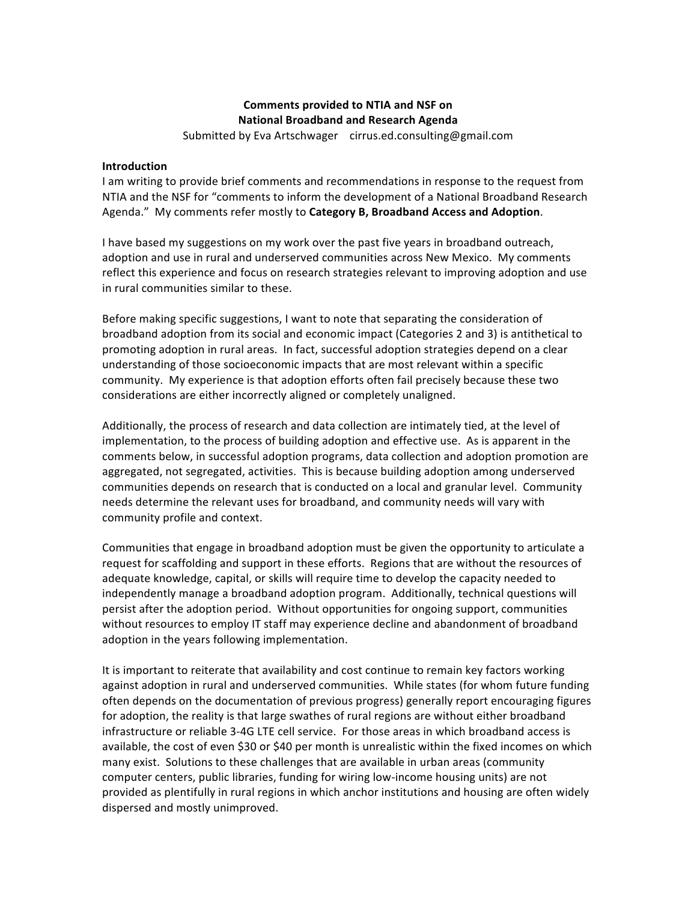## **Comments provided to NTIA and NSF on National Broadband and Research Agenda**

Submitted by Eva Artschwager cirrus.ed.consulting@gmail.com

## **Introduction**

I am writing to provide brief comments and recommendations in response to the request from NTIA and the NSF for "comments to inform the development of a National Broadband Research Agenda." My comments refer mostly to Category B, Broadband Access and Adoption.

I have based my suggestions on my work over the past five years in broadband outreach, adoption and use in rural and underserved communities across New Mexico. My comments reflect this experience and focus on research strategies relevant to improving adoption and use in rural communities similar to these.

Before making specific suggestions, I want to note that separating the consideration of broadband adoption from its social and economic impact (Categories 2 and 3) is antithetical to promoting adoption in rural areas. In fact, successful adoption strategies depend on a clear understanding of those socioeconomic impacts that are most relevant within a specific community. My experience is that adoption efforts often fail precisely because these two considerations are either incorrectly aligned or completely unaligned.

Additionally, the process of research and data collection are intimately tied, at the level of implementation, to the process of building adoption and effective use. As is apparent in the comments below, in successful adoption programs, data collection and adoption promotion are aggregated, not segregated, activities. This is because building adoption among underserved communities depends on research that is conducted on a local and granular level. Community needs determine the relevant uses for broadband, and community needs will vary with community profile and context.

Communities that engage in broadband adoption must be given the opportunity to articulate a request for scaffolding and support in these efforts. Regions that are without the resources of adequate knowledge, capital, or skills will require time to develop the capacity needed to independently manage a broadband adoption program. Additionally, technical questions will persist after the adoption period. Without opportunities for ongoing support, communities without resources to employ IT staff may experience decline and abandonment of broadband adoption in the years following implementation.

It is important to reiterate that availability and cost continue to remain key factors working against adoption in rural and underserved communities. While states (for whom future funding often depends on the documentation of previous progress) generally report encouraging figures for adoption, the reality is that large swathes of rural regions are without either broadband infrastructure or reliable 3-4G LTE cell service. For those areas in which broadband access is available, the cost of even \$30 or \$40 per month is unrealistic within the fixed incomes on which many exist. Solutions to these challenges that are available in urban areas (community computer centers, public libraries, funding for wiring low-income housing units) are not provided as plentifully in rural regions in which anchor institutions and housing are often widely dispersed and mostly unimproved.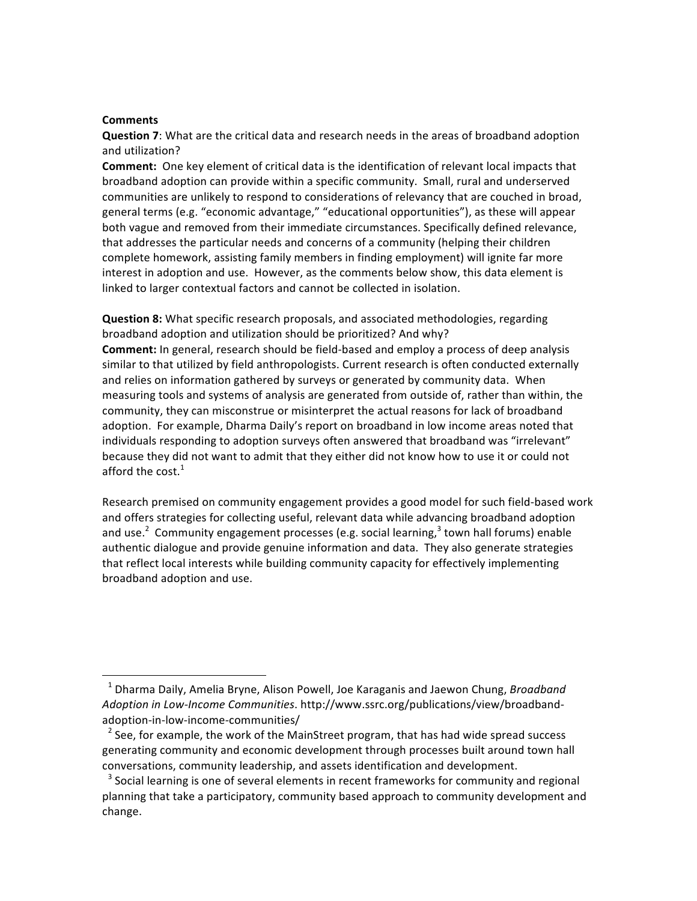## **Comments**

**Question 7:** What are the critical data and research needs in the areas of broadband adoption and utilization?

**Comment:** One key element of critical data is the identification of relevant local impacts that broadband adoption can provide within a specific community. Small, rural and underserved communities are unlikely to respond to considerations of relevancy that are couched in broad, general terms (e.g. "economic advantage," "educational opportunities"), as these will appear both vague and removed from their immediate circumstances. Specifically defined relevance, that addresses the particular needs and concerns of a community (helping their children complete homework, assisting family members in finding employment) will ignite far more interest in adoption and use. However, as the comments below show, this data element is linked to larger contextual factors and cannot be collected in isolation.

**Question 8:** What specific research proposals, and associated methodologies, regarding broadband adoption and utilization should be prioritized? And why?

**Comment:** In general, research should be field-based and employ a process of deep analysis similar to that utilized by field anthropologists. Current research is often conducted externally and relies on information gathered by surveys or generated by community data. When measuring tools and systems of analysis are generated from outside of, rather than within, the community, they can misconstrue or misinterpret the actual reasons for lack of broadband adoption. For example, Dharma Daily's report on broadband in low income areas noted that individuals responding to adoption surveys often answered that broadband was "irrelevant" because they did not want to admit that they either did not know how to use it or could not afford the  $cost.<sup>1</sup>$ 

Research premised on community engagement provides a good model for such field-based work and offers strategies for collecting useful, relevant data while advancing broadband adoption and use.<sup>2</sup> Community engagement processes (e.g. social learning,<sup>3</sup> town hall forums) enable authentic dialogue and provide genuine information and data. They also generate strategies that reflect local interests while building community capacity for effectively implementing broadband adoption and use.

<u> 1989 - Jan Samuel Barbara, margaret e</u>

<sup>&</sup>lt;sup>1</sup> Dharma Daily, Amelia Bryne, Alison Powell, Joe Karaganis and Jaewon Chung, *Broadband* Adoption in Low-Income Communities. http://www.ssrc.org/publications/view/broadbandadoption-in-low-income-communities/

 $<sup>2</sup>$  See, for example, the work of the MainStreet program, that has had wide spread success</sup> generating community and economic development through processes built around town hall conversations, community leadership, and assets identification and development.

 $3$  Social learning is one of several elements in recent frameworks for community and regional planning that take a participatory, community based approach to community development and change.